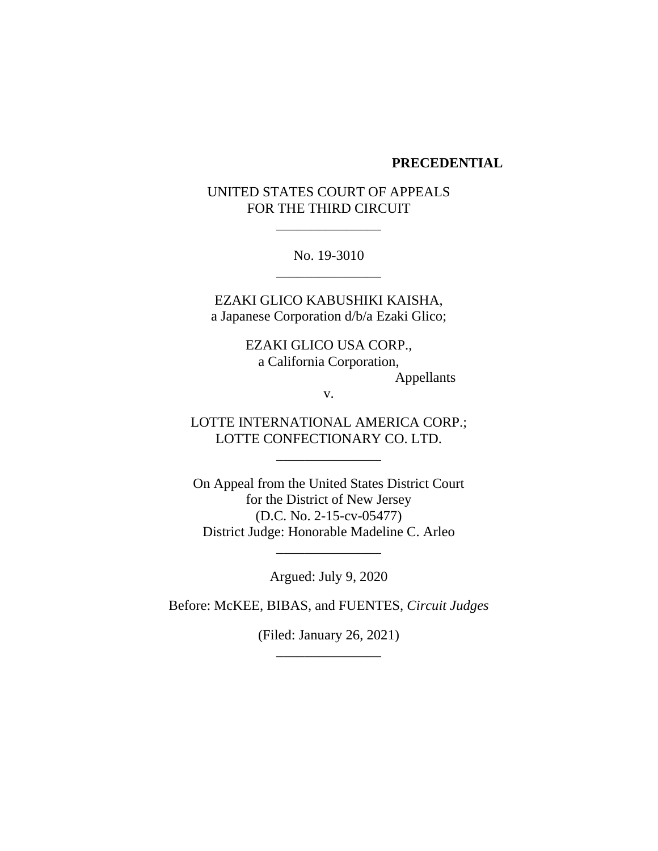#### **PRECEDENTIAL**

# UNITED STATES COURT OF APPEALS FOR THE THIRD CIRCUIT

\_\_\_\_\_\_\_\_\_\_\_\_\_\_\_

No. 19-3010 \_\_\_\_\_\_\_\_\_\_\_\_\_\_\_

EZAKI GLICO KABUSHIKI KAISHA, a Japanese Corporation d/b/a Ezaki Glico;

> EZAKI GLICO USA CORP., a California Corporation, Appellants

> > v.

LOTTE INTERNATIONAL AMERICA CORP.; LOTTE CONFECTIONARY CO. LTD.

\_\_\_\_\_\_\_\_\_\_\_\_\_\_\_

On Appeal from the United States District Court for the District of New Jersey (D.C. No. 2-15-cv-05477) District Judge: Honorable Madeline C. Arleo

Argued: July 9, 2020

\_\_\_\_\_\_\_\_\_\_\_\_\_\_\_

Before: McKEE, BIBAS, and FUENTES, *Circuit Judges*

(Filed: January 26, 2021) \_\_\_\_\_\_\_\_\_\_\_\_\_\_\_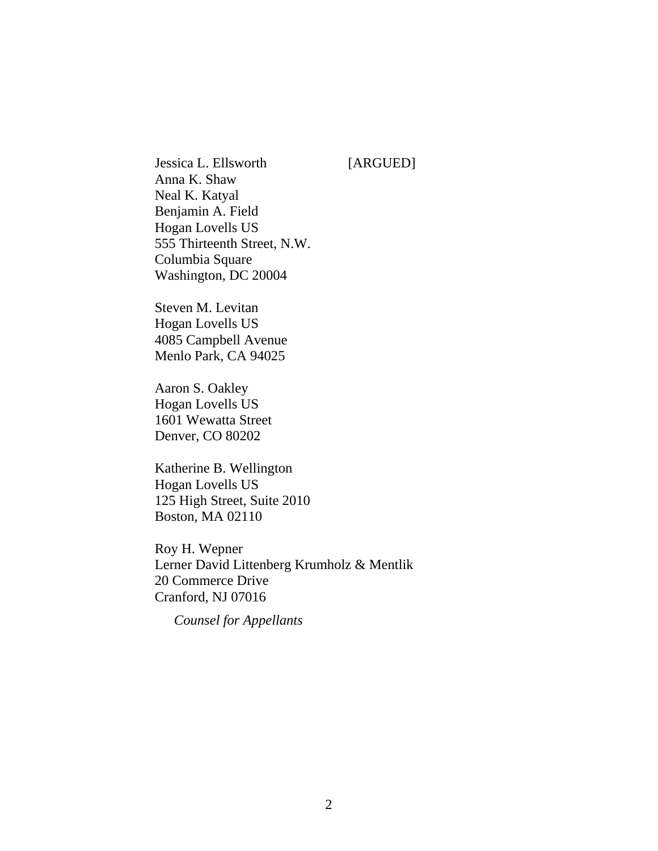Jessica L. Ellsworth [ARGUED] Anna K. Shaw Neal K. Katyal Benjamin A. Field Hogan Lovells US 555 Thirteenth Street, N.W. Columbia Square Washington, DC 20004

Steven M. Levitan Hogan Lovells US 4085 Campbell Avenue Menlo Park, CA 94025

Aaron S. Oakley Hogan Lovells US 1601 Wewatta Street Denver, CO 80202

Katherine B. Wellington Hogan Lovells US 125 High Street, Suite 2010 Boston, MA 02110

Roy H. Wepner Lerner David Littenberg Krumholz & Mentlik 20 Commerce Drive Cranford, NJ 07016

*Counsel for Appellants*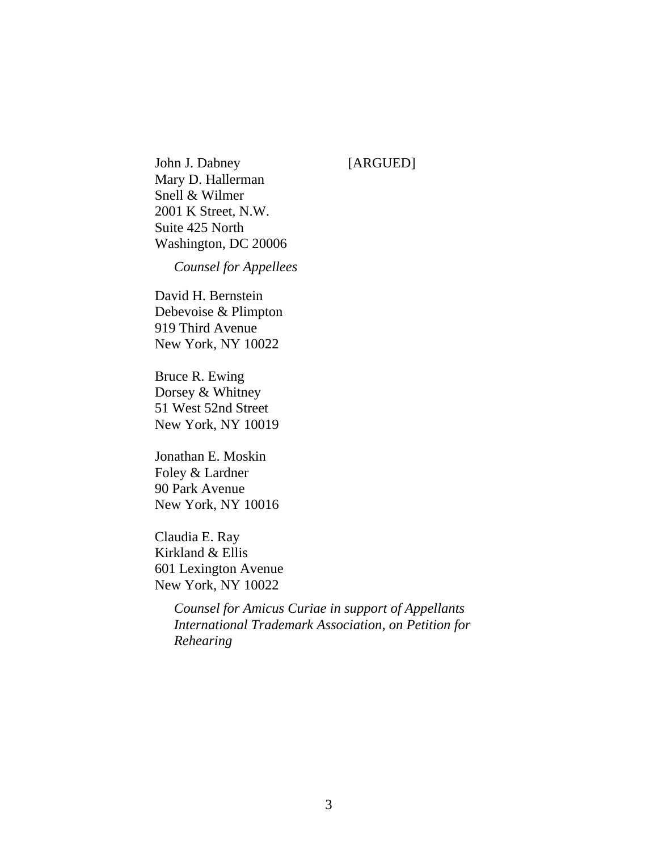John J. Dabney [ARGUED] Mary D. Hallerman Snell & Wilmer 2001 K Street, N.W. Suite 425 North Washington, DC 20006

*Counsel for Appellees*

David H. Bernstein Debevoise & Plimpton 919 Third Avenue New York, NY 10022

Bruce R. Ewing Dorsey & Whitney 51 West 52nd Street New York, NY 10019

Jonathan E. Moskin Foley & Lardner 90 Park Avenue New York, NY 10016

Claudia E. Ray Kirkland & Ellis 601 Lexington Avenue New York, NY 10022

> *Counsel for Amicus Curiae in support of Appellants International Trademark Association, on Petition for Rehearing*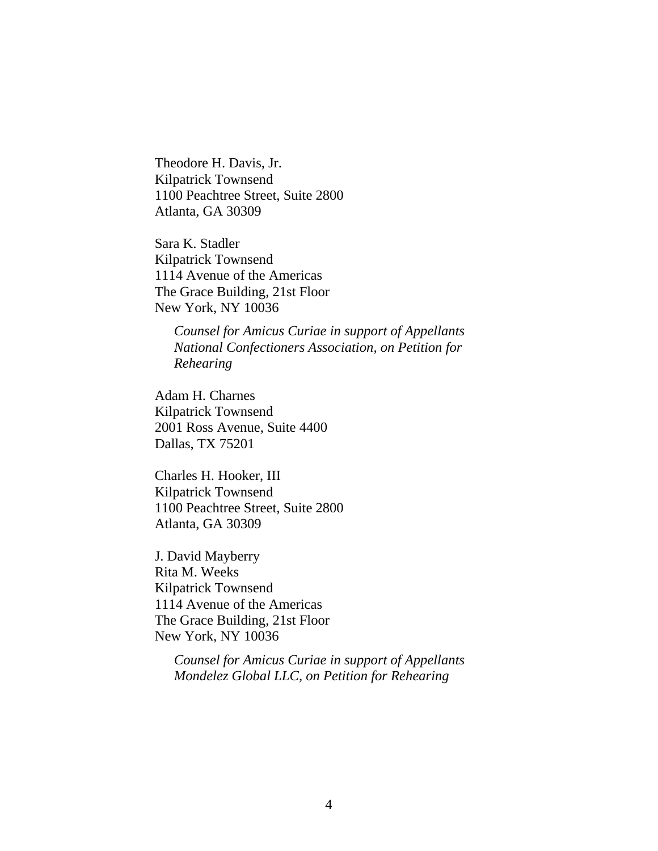Theodore H. Davis, Jr. Kilpatrick Townsend 1100 Peachtree Street, Suite 2800 Atlanta, GA 30309

Sara K. Stadler Kilpatrick Townsend 1114 Avenue of the Americas The Grace Building, 21st Floor New York, NY 10036

> *Counsel for Amicus Curiae in support of Appellants National Confectioners Association, on Petition for Rehearing*

Adam H. Charnes Kilpatrick Townsend 2001 Ross Avenue, Suite 4400 Dallas, TX 75201

Charles H. Hooker, III Kilpatrick Townsend 1100 Peachtree Street, Suite 2800 Atlanta, GA 30309

J. David Mayberry Rita M. Weeks Kilpatrick Townsend 1114 Avenue of the Americas The Grace Building, 21st Floor New York, NY 10036

> *Counsel for Amicus Curiae in support of Appellants Mondelez Global LLC, on Petition for Rehearing*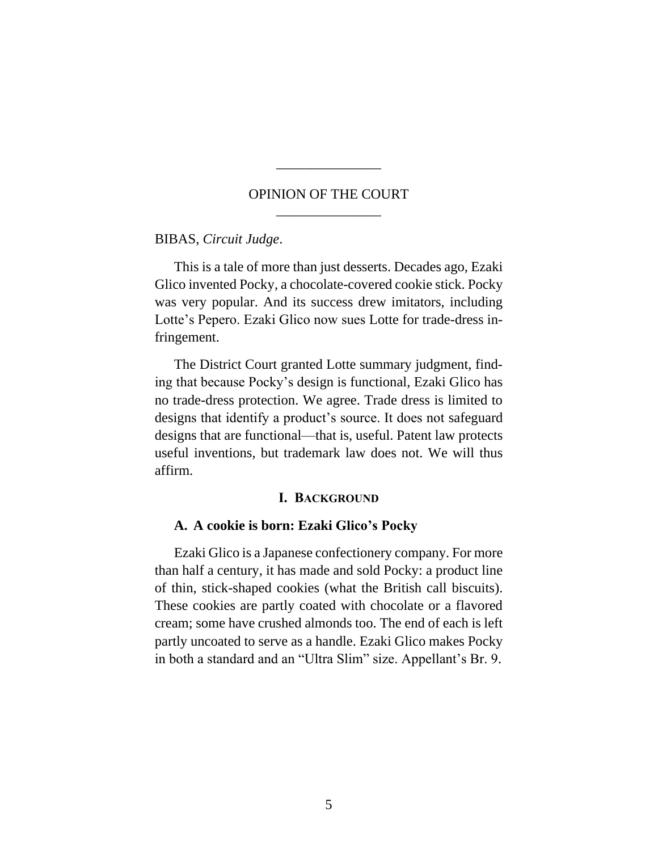# OPINION OF THE COURT \_\_\_\_\_\_\_\_\_\_\_\_\_\_\_

\_\_\_\_\_\_\_\_\_\_\_\_\_\_\_

BIBAS, *Circuit Judge*.

This is a tale of more than just desserts. Decades ago, Ezaki Glico invented Pocky, a chocolate-covered cookie stick. Pocky was very popular. And its success drew imitators, including Lotte's Pepero. Ezaki Glico now sues Lotte for trade-dress infringement.

The District Court granted Lotte summary judgment, finding that because Pocky's design is functional, Ezaki Glico has no trade-dress protection. We agree. Trade dress is limited to designs that identify a product's source. It does not safeguard designs that are functional—that is, useful. Patent law protects useful inventions, but trademark law does not. We will thus affirm.

#### **I. BACKGROUND**

#### **A. A cookie is born: Ezaki Glico's Pocky**

Ezaki Glico is a Japanese confectionery company. For more than half a century, it has made and sold Pocky: a product line of thin, stick-shaped cookies (what the British call biscuits). These cookies are partly coated with chocolate or a flavored cream; some have crushed almonds too. The end of each is left partly uncoated to serve as a handle. Ezaki Glico makes Pocky in both a standard and an "Ultra Slim" size. Appellant's Br. 9.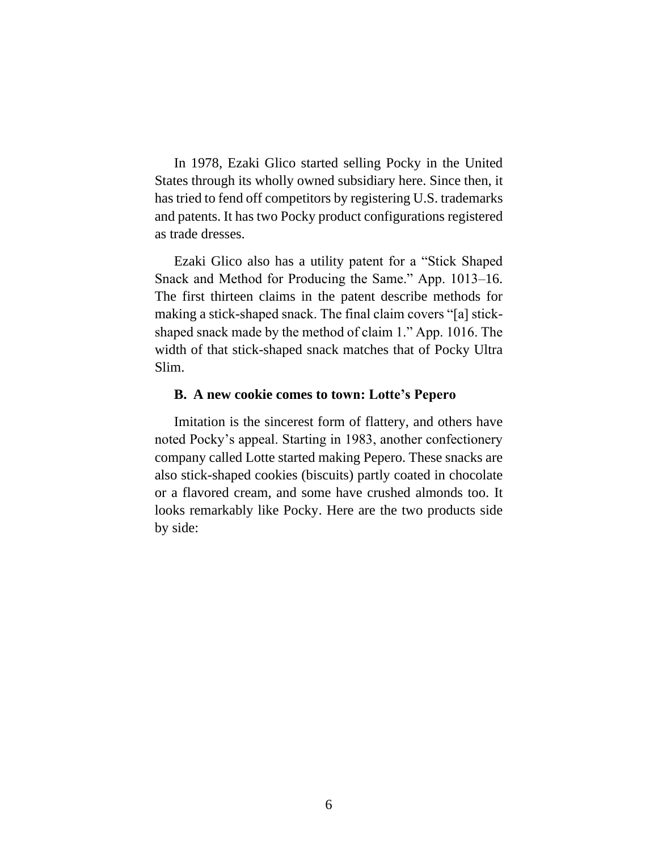In 1978, Ezaki Glico started selling Pocky in the United States through its wholly owned subsidiary here. Since then, it has tried to fend off competitors by registering U.S. trademarks and patents. It has two Pocky product configurations registered as trade dresses.

Ezaki Glico also has a utility patent for a "Stick Shaped Snack and Method for Producing the Same." App. 1013–16. The first thirteen claims in the patent describe methods for making a stick-shaped snack. The final claim covers "[a] stickshaped snack made by the method of claim 1." App. 1016. The width of that stick-shaped snack matches that of Pocky Ultra Slim.

#### **B. A new cookie comes to town: Lotte's Pepero**

Imitation is the sincerest form of flattery, and others have noted Pocky's appeal. Starting in 1983, another confectionery company called Lotte started making Pepero. These snacks are also stick-shaped cookies (biscuits) partly coated in chocolate or a flavored cream, and some have crushed almonds too. It looks remarkably like Pocky. Here are the two products side by side: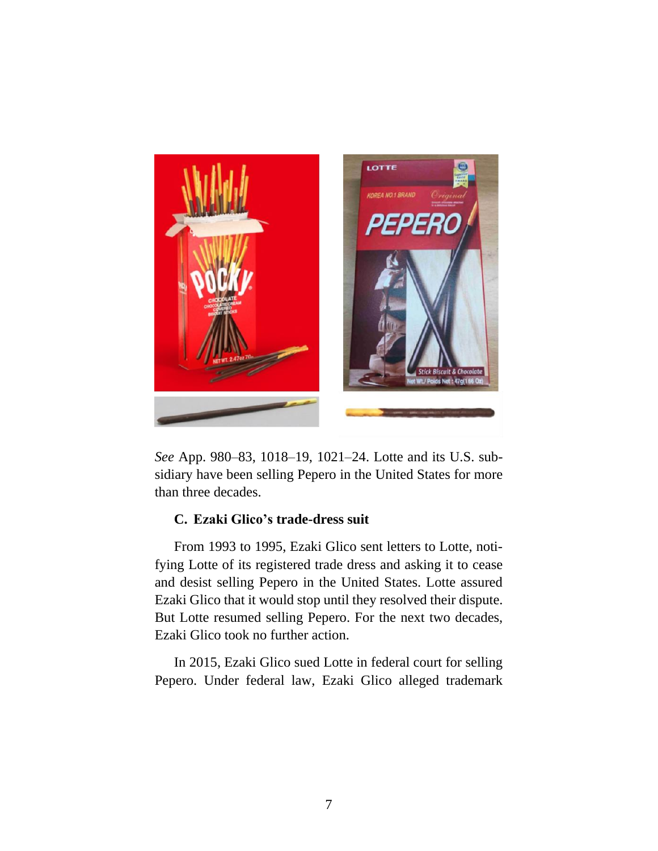

*See* App. 980–83, 1018–19, 1021–24. Lotte and its U.S. subsidiary have been selling Pepero in the United States for more than three decades.

# **C. Ezaki Glico's trade-dress suit**

From 1993 to 1995, Ezaki Glico sent letters to Lotte, notifying Lotte of its registered trade dress and asking it to cease and desist selling Pepero in the United States. Lotte assured Ezaki Glico that it would stop until they resolved their dispute. But Lotte resumed selling Pepero. For the next two decades, Ezaki Glico took no further action.

In 2015, Ezaki Glico sued Lotte in federal court for selling Pepero. Under federal law, Ezaki Glico alleged trademark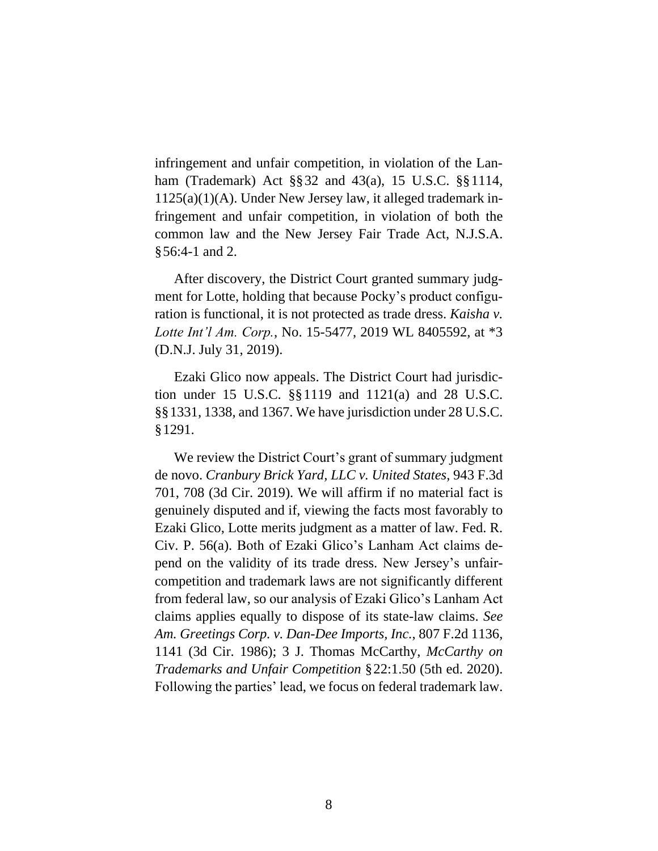infringement and unfair competition, in violation of the Lanham (Trademark) Act §§32 and 43(a), 15 U.S.C. §§1114, 1125(a)(1)(A). Under New Jersey law, it alleged trademark infringement and unfair competition, in violation of both the common law and the New Jersey Fair Trade Act, N.J.S.A. §56:4-1 and 2.

After discovery, the District Court granted summary judgment for Lotte, holding that because Pocky's product configuration is functional, it is not protected as trade dress. *Kaisha v. Lotte Int'l Am. Corp.*, No. 15-5477, 2019 WL 8405592, at \*3 (D.N.J. July 31, 2019).

Ezaki Glico now appeals. The District Court had jurisdiction under 15 U.S.C. §§1119 and 1121(a) and 28 U.S.C. §§1331, 1338, and 1367. We have jurisdiction under 28 U.S.C. §1291.

We review the District Court's grant of summary judgment de novo. *Cranbury Brick Yard, LLC v. United States*, 943 F.3d 701, 708 (3d Cir. 2019). We will affirm if no material fact is genuinely disputed and if, viewing the facts most favorably to Ezaki Glico, Lotte merits judgment as a matter of law. Fed. R. Civ. P. 56(a). Both of Ezaki Glico's Lanham Act claims depend on the validity of its trade dress. New Jersey's unfaircompetition and trademark laws are not significantly different from federal law, so our analysis of Ezaki Glico's Lanham Act claims applies equally to dispose of its state-law claims. *See Am. Greetings Corp. v. Dan-Dee Imports, Inc.*, 807 F.2d 1136, 1141 (3d Cir. 1986); 3 J. Thomas McCarthy, *McCarthy on Trademarks and Unfair Competition* §22:1.50 (5th ed. 2020). Following the parties' lead, we focus on federal trademark law.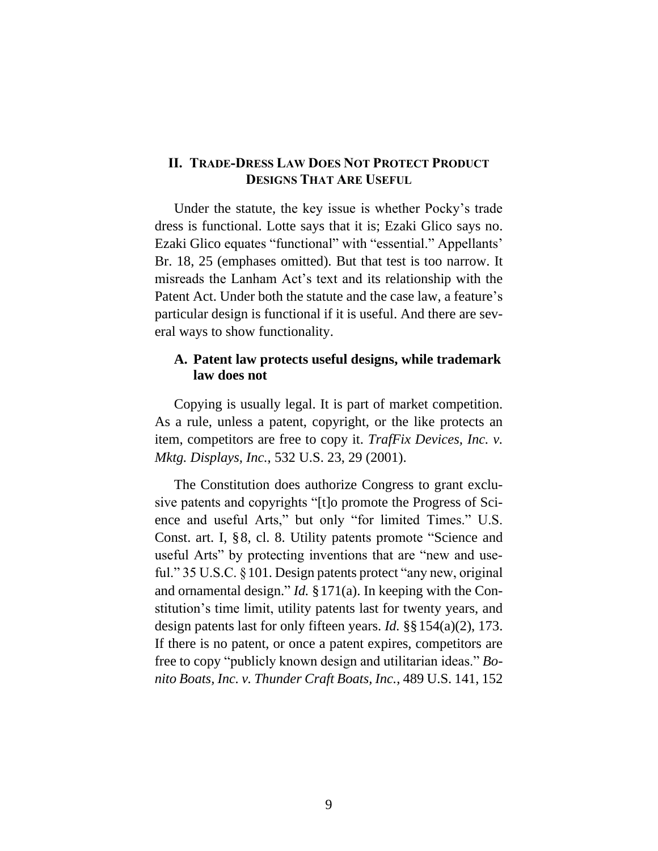## **II. TRADE-DRESS LAW DOES NOT PROTECT PRODUCT DESIGNS THAT ARE USEFUL**

Under the statute, the key issue is whether Pocky's trade dress is functional. Lotte says that it is; Ezaki Glico says no. Ezaki Glico equates "functional" with "essential." Appellants' Br. 18, 25 (emphases omitted). But that test is too narrow. It misreads the Lanham Act's text and its relationship with the Patent Act. Under both the statute and the case law, a feature's particular design is functional if it is useful. And there are several ways to show functionality.

## **A. Patent law protects useful designs, while trademark law does not**

Copying is usually legal. It is part of market competition. As a rule, unless a patent, copyright, or the like protects an item, competitors are free to copy it. *TrafFix Devices, Inc. v. Mktg. Displays, Inc.*, 532 U.S. 23, 29 (2001).

The Constitution does authorize Congress to grant exclusive patents and copyrights "[t]o promote the Progress of Science and useful Arts," but only "for limited Times." U.S. Const. art. I, §8, cl. 8. Utility patents promote "Science and useful Arts" by protecting inventions that are "new and useful." 35 U.S.C. §101. Design patents protect "any new, original and ornamental design." *Id.* §171(a). In keeping with the Constitution's time limit, utility patents last for twenty years, and design patents last for only fifteen years. *Id.* §§154(a)(2), 173. If there is no patent, or once a patent expires, competitors are free to copy "publicly known design and utilitarian ideas." *Bonito Boats, Inc. v. Thunder Craft Boats, Inc.*, 489 U.S. 141, 152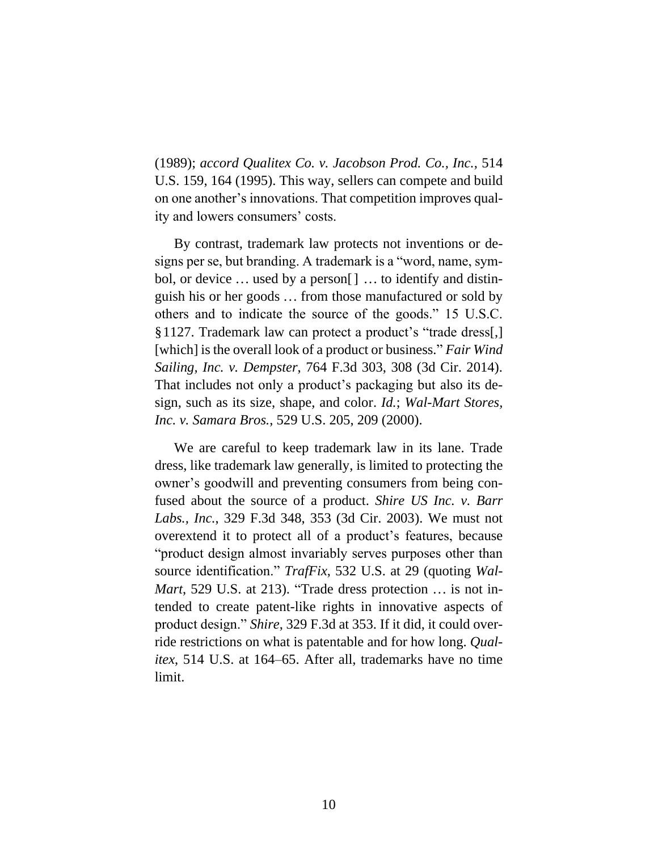(1989); *accord Qualitex Co. v. Jacobson Prod. Co., Inc.*, 514 U.S. 159, 164 (1995). This way, sellers can compete and build on one another's innovations. That competition improves quality and lowers consumers' costs.

By contrast, trademark law protects not inventions or designs per se, but branding. A trademark is a "word, name, symbol, or device ... used by a person[] ... to identify and distinguish his or her goods ... from those manufactured or sold by others and to indicate the source of the goods." 15 U.S.C. §1127. Trademark law can protect a product's "trade dress[,] [which] is the overall look of a product or business." *Fair Wind Sailing, Inc. v. Dempster*, 764 F.3d 303, 308 (3d Cir. 2014). That includes not only a product's packaging but also its design, such as its size, shape, and color. *Id.*; *Wal-Mart Stores, Inc. v. Samara Bros.*, 529 U.S. 205, 209 (2000).

We are careful to keep trademark law in its lane. Trade dress, like trademark law generally, is limited to protecting the owner's goodwill and preventing consumers from being confused about the source of a product. *Shire US Inc. v. Barr Labs., Inc.*, 329 F.3d 348, 353 (3d Cir. 2003). We must not overextend it to protect all of a product's features, because "product design almost invariably serves purposes other than source identification." *TrafFix*, 532 U.S. at 29 (quoting *Wal-Mart*, 529 U.S. at 213). "Trade dress protection ... is not intended to create patent-like rights in innovative aspects of product design." *Shire*, 329 F.3d at 353. If it did, it could override restrictions on what is patentable and for how long. *Qualitex*, 514 U.S. at 164–65. After all, trademarks have no time limit.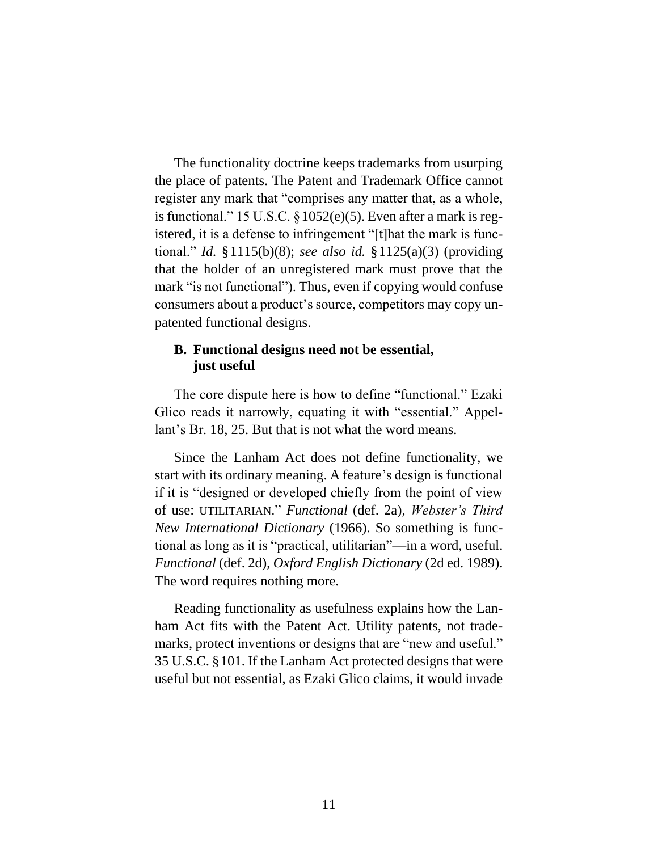The functionality doctrine keeps trademarks from usurping the place of patents. The Patent and Trademark Office cannot register any mark that "comprises any matter that, as a whole, is functional." 15 U.S.C.  $\S 1052(e)(5)$ . Even after a mark is registered, it is a defense to infringement "[t]hat the mark is functional." *Id.* §1115(b)(8); *see also id.* §1125(a)(3) (providing that the holder of an unregistered mark must prove that the mark "is not functional"). Thus, even if copying would confuse consumers about a product's source, competitors may copy unpatented functional designs.

## **B. Functional designs need not be essential, just useful**

The core dispute here is how to define "functional." Ezaki Glico reads it narrowly, equating it with "essential." Appellant's Br. 18, 25. But that is not what the word means.

Since the Lanham Act does not define functionality, we start with its ordinary meaning. A feature's design is functional if it is "designed or developed chiefly from the point of view of use: UTILITARIAN." *Functional* (def. 2a), *Webster's Third New International Dictionary* (1966). So something is functional as long as it is "practical, utilitarian"—in a word, useful. *Functional* (def. 2d), *Oxford English Dictionary* (2d ed. 1989). The word requires nothing more.

Reading functionality as usefulness explains how the Lanham Act fits with the Patent Act. Utility patents, not trademarks, protect inventions or designs that are "new and useful." 35 U.S.C. §101. If the Lanham Act protected designs that were useful but not essential, as Ezaki Glico claims, it would invade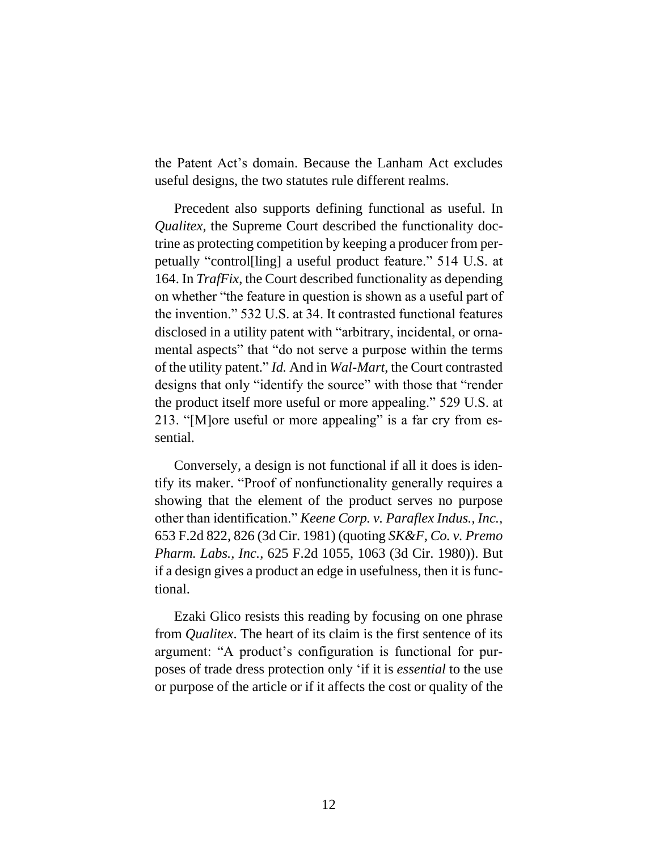the Patent Act's domain. Because the Lanham Act excludes useful designs, the two statutes rule different realms.

Precedent also supports defining functional as useful. In *Qualitex*, the Supreme Court described the functionality doctrine as protecting competition by keeping a producer from perpetually "control[ling] a useful product feature." 514 U.S. at 164. In *TrafFix*, the Court described functionality as depending on whether "the feature in question is shown as a useful part of the invention." 532 U.S. at 34. It contrasted functional features disclosed in a utility patent with "arbitrary, incidental, or ornamental aspects" that "do not serve a purpose within the terms of the utility patent." *Id.* And in *Wal-Mart*, the Court contrasted designs that only "identify the source" with those that "render the product itself more useful or more appealing." 529 U.S. at 213. "[M]ore useful or more appealing" is a far cry from essential.

Conversely, a design is not functional if all it does is identify its maker. "Proof of nonfunctionality generally requires a showing that the element of the product serves no purpose other than identification." *Keene Corp. v. Paraflex Indus., Inc.*, 653 F.2d 822, 826 (3d Cir. 1981) (quoting *SK&F, Co. v. Premo Pharm. Labs., Inc.*, 625 F.2d 1055, 1063 (3d Cir. 1980)). But if a design gives a product an edge in usefulness, then it is functional.

Ezaki Glico resists this reading by focusing on one phrase from *Qualitex*. The heart of its claim is the first sentence of its argument: "A product's configuration is functional for purposes of trade dress protection only 'if it is *essential* to the use or purpose of the article or if it affects the cost or quality of the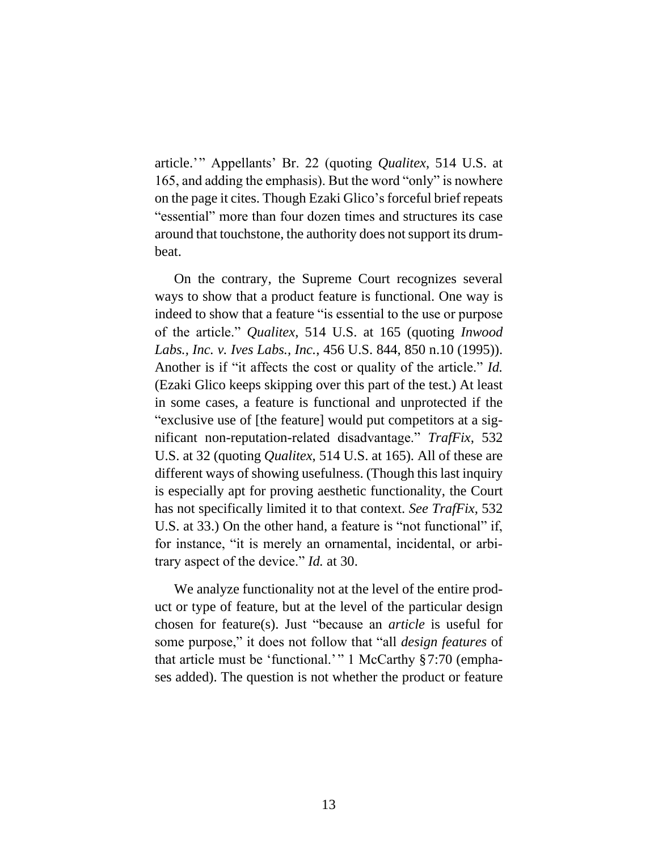article.'" Appellants' Br. 22 (quoting *Qualitex*, 514 U.S. at 165, and adding the emphasis). But the word "only" is nowhere on the page it cites. Though Ezaki Glico's forceful brief repeats "essential" more than four dozen times and structures its case around that touchstone, the authority does not support its drumbeat.

On the contrary, the Supreme Court recognizes several ways to show that a product feature is functional. One way is indeed to show that a feature "is essential to the use or purpose of the article." *Qualitex*, 514 U.S. at 165 (quoting *Inwood Labs., Inc. v. Ives Labs., Inc.*, 456 U.S. 844, 850 n.10 (1995)). Another is if "it affects the cost or quality of the article." *Id.* (Ezaki Glico keeps skipping over this part of the test.) At least in some cases, a feature is functional and unprotected if the "exclusive use of [the feature] would put competitors at a significant non-reputation-related disadvantage." *TrafFix*, 532 U.S. at 32 (quoting *Qualitex*, 514 U.S. at 165). All of these are different ways of showing usefulness. (Though this last inquiry is especially apt for proving aesthetic functionality, the Court has not specifically limited it to that context. *See TrafFix*, 532 U.S. at 33.) On the other hand, a feature is "not functional" if, for instance, "it is merely an ornamental, incidental, or arbitrary aspect of the device." *Id.* at 30.

We analyze functionality not at the level of the entire product or type of feature, but at the level of the particular design chosen for feature(s). Just "because an *article* is useful for some purpose," it does not follow that "all *design features* of that article must be 'functional.' " 1 McCarthy §7:70 (emphases added). The question is not whether the product or feature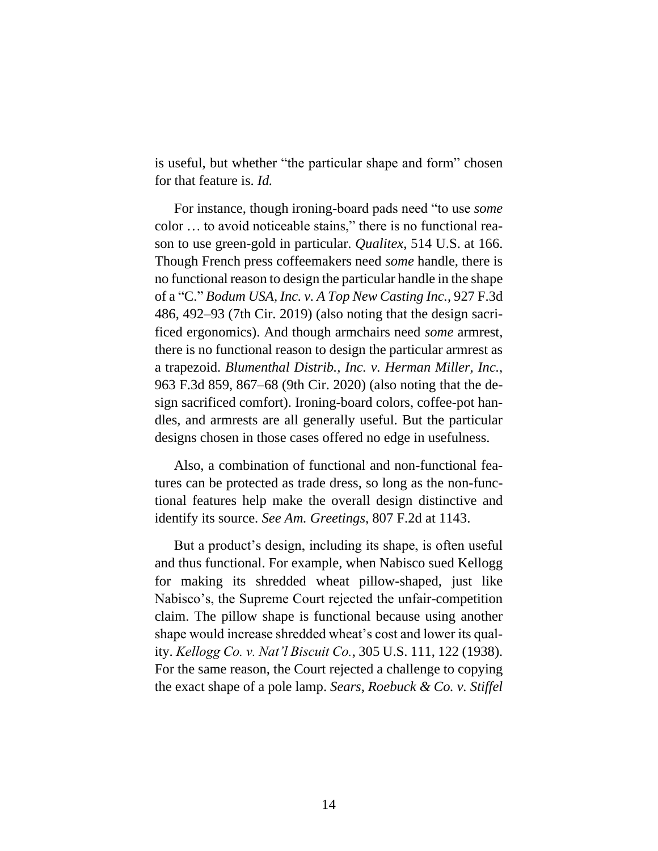is useful, but whether "the particular shape and form" chosen for that feature is. *Id.*

For instance, though ironing-board pads need "to use *some* color ... to avoid noticeable stains," there is no functional reason to use green-gold in particular. *Qualitex*, 514 U.S. at 166. Though French press coffeemakers need *some* handle, there is no functional reason to design the particular handle in the shape of a "C." *Bodum USA, Inc. v. A Top New Casting Inc.*, 927 F.3d 486, 492–93 (7th Cir. 2019) (also noting that the design sacrificed ergonomics). And though armchairs need *some* armrest, there is no functional reason to design the particular armrest as a trapezoid. *Blumenthal Distrib., Inc. v. Herman Miller, Inc.*, 963 F.3d 859, 867–68 (9th Cir. 2020) (also noting that the design sacrificed comfort). Ironing-board colors, coffee-pot handles, and armrests are all generally useful. But the particular designs chosen in those cases offered no edge in usefulness.

Also, a combination of functional and non-functional features can be protected as trade dress, so long as the non-functional features help make the overall design distinctive and identify its source. *See Am. Greetings*, 807 F.2d at 1143.

But a product's design, including its shape, is often useful and thus functional. For example, when Nabisco sued Kellogg for making its shredded wheat pillow-shaped, just like Nabisco's, the Supreme Court rejected the unfair-competition claim. The pillow shape is functional because using another shape would increase shredded wheat's cost and lower its quality. *Kellogg Co. v. Nat'l Biscuit Co.*, 305 U.S. 111, 122 (1938). For the same reason, the Court rejected a challenge to copying the exact shape of a pole lamp. *Sears, Roebuck & Co. v. Stiffel*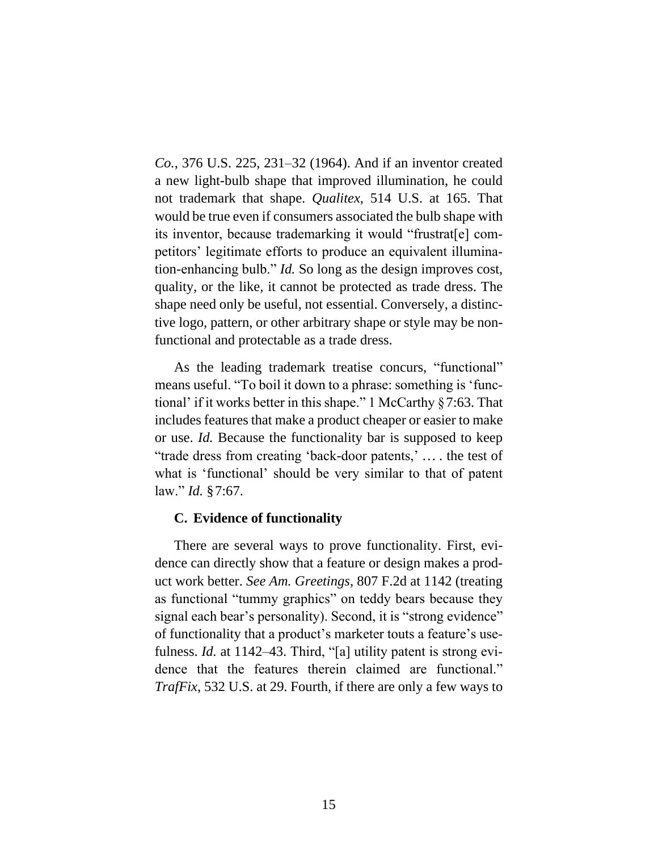*Co.*, 376 U.S. 225, 231–32 (1964). And if an inventor created a new light-bulb shape that improved illumination, he could not trademark that shape. *Qualitex*, 514 U.S. at 165. That would be true even if consumers associated the bulb shape with its inventor, because trademarking it would "frustrat[e] competitors' legitimate efforts to produce an equivalent illumination-enhancing bulb." *Id.* So long as the design improves cost, quality, or the like, it cannot be protected as trade dress. The shape need only be useful, not essential. Conversely, a distinctive logo, pattern, or other arbitrary shape or style may be nonfunctional and protectable as a trade dress.

As the leading trademark treatise concurs, "functional" means useful. "To boil it down to a phrase: something is 'functional' if it works better in this shape." 1 McCarthy §7:63. That includes features that make a product cheaper or easier to make or use. *Id.* Because the functionality bar is supposed to keep "trade dress from creating 'back-door patents,' ... . the test of what is 'functional' should be very similar to that of patent law." *Id.* §7:67.

#### **C. Evidence of functionality**

There are several ways to prove functionality. First, evidence can directly show that a feature or design makes a product work better. *See Am. Greetings*, 807 F.2d at 1142 (treating as functional "tummy graphics" on teddy bears because they signal each bear's personality). Second, it is "strong evidence" of functionality that a product's marketer touts a feature's usefulness. *Id.* at 1142–43. Third, "[a] utility patent is strong evidence that the features therein claimed are functional." *TrafFix*, 532 U.S. at 29. Fourth, if there are only a few ways to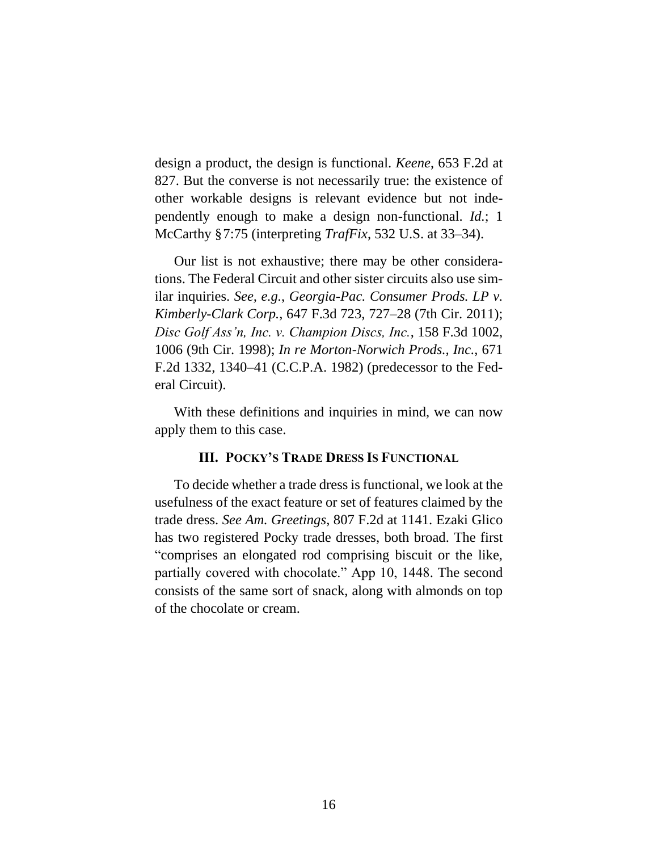design a product, the design is functional. *Keene*, 653 F.2d at 827. But the converse is not necessarily true: the existence of other workable designs is relevant evidence but not independently enough to make a design non-functional. *Id.*; 1 McCarthy §7:75 (interpreting *TrafFix*, 532 U.S. at 33–34).

Our list is not exhaustive; there may be other considerations. The Federal Circuit and other sister circuits also use similar inquiries. *See, e.g.*, *Georgia-Pac. Consumer Prods. LP v. Kimberly-Clark Corp.*, 647 F.3d 723, 727–28 (7th Cir. 2011); *Disc Golf Ass'n, Inc. v. Champion Discs, Inc.*, 158 F.3d 1002, 1006 (9th Cir. 1998); *In re Morton-Norwich Prods., Inc.*, 671 F.2d 1332, 1340–41 (C.C.P.A. 1982) (predecessor to the Federal Circuit).

With these definitions and inquiries in mind, we can now apply them to this case.

#### **III. POCKY'S TRADE DRESS IS FUNCTIONAL**

To decide whether a trade dress is functional, we look at the usefulness of the exact feature or set of features claimed by the trade dress. *See Am. Greetings*, 807 F.2d at 1141. Ezaki Glico has two registered Pocky trade dresses, both broad. The first "comprises an elongated rod comprising biscuit or the like, partially covered with chocolate." App 10, 1448. The second consists of the same sort of snack, along with almonds on top of the chocolate or cream.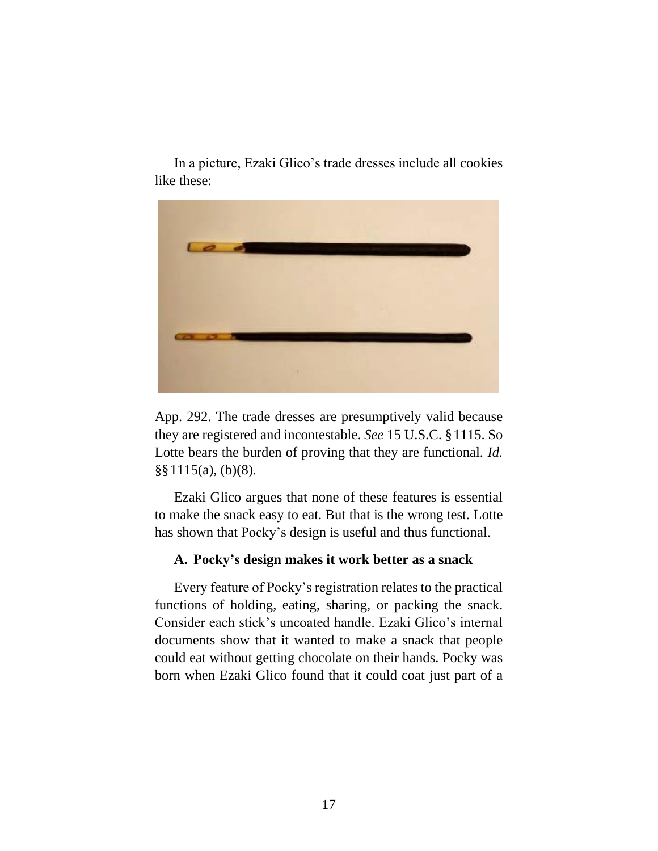In a picture, Ezaki Glico's trade dresses include all cookies like these:



App. 292. The trade dresses are presumptively valid because they are registered and incontestable. *See* 15 U.S.C. §1115. So Lotte bears the burden of proving that they are functional. *Id.* §§1115(a), (b)(8)*.*

Ezaki Glico argues that none of these features is essential to make the snack easy to eat. But that is the wrong test. Lotte has shown that Pocky's design is useful and thus functional.

#### **A. Pocky's design makes it work better as a snack**

Every feature of Pocky's registration relates to the practical functions of holding, eating, sharing, or packing the snack. Consider each stick's uncoated handle. Ezaki Glico's internal documents show that it wanted to make a snack that people could eat without getting chocolate on their hands. Pocky was born when Ezaki Glico found that it could coat just part of a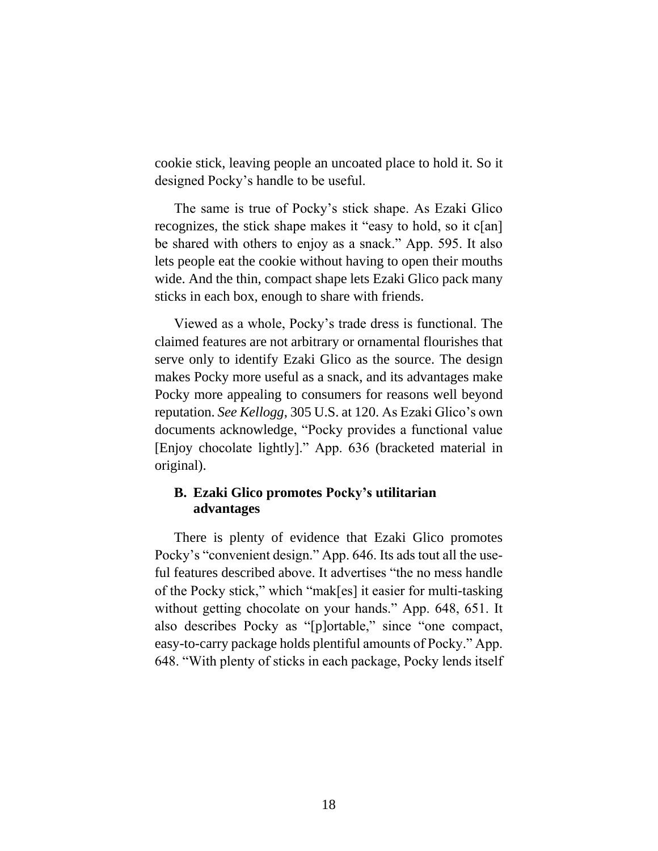cookie stick, leaving people an uncoated place to hold it. So it designed Pocky's handle to be useful.

The same is true of Pocky's stick shape. As Ezaki Glico recognizes, the stick shape makes it "easy to hold, so it c[an] be shared with others to enjoy as a snack." App. 595. It also lets people eat the cookie without having to open their mouths wide. And the thin, compact shape lets Ezaki Glico pack many sticks in each box, enough to share with friends.

Viewed as a whole, Pocky's trade dress is functional. The claimed features are not arbitrary or ornamental flourishes that serve only to identify Ezaki Glico as the source. The design makes Pocky more useful as a snack, and its advantages make Pocky more appealing to consumers for reasons well beyond reputation. *See Kellogg*, 305 U.S. at 120. As Ezaki Glico's own documents acknowledge, "Pocky provides a functional value [Enjoy chocolate lightly]." App. 636 (bracketed material in original).

# **B. Ezaki Glico promotes Pocky's utilitarian advantages**

There is plenty of evidence that Ezaki Glico promotes Pocky's "convenient design." App. 646. Its ads tout all the useful features described above. It advertises "the no mess handle of the Pocky stick," which "mak[es] it easier for multi-tasking without getting chocolate on your hands." App. 648, 651. It also describes Pocky as "[p]ortable," since "one compact, easy-to-carry package holds plentiful amounts of Pocky." App. 648. "With plenty of sticks in each package, Pocky lends itself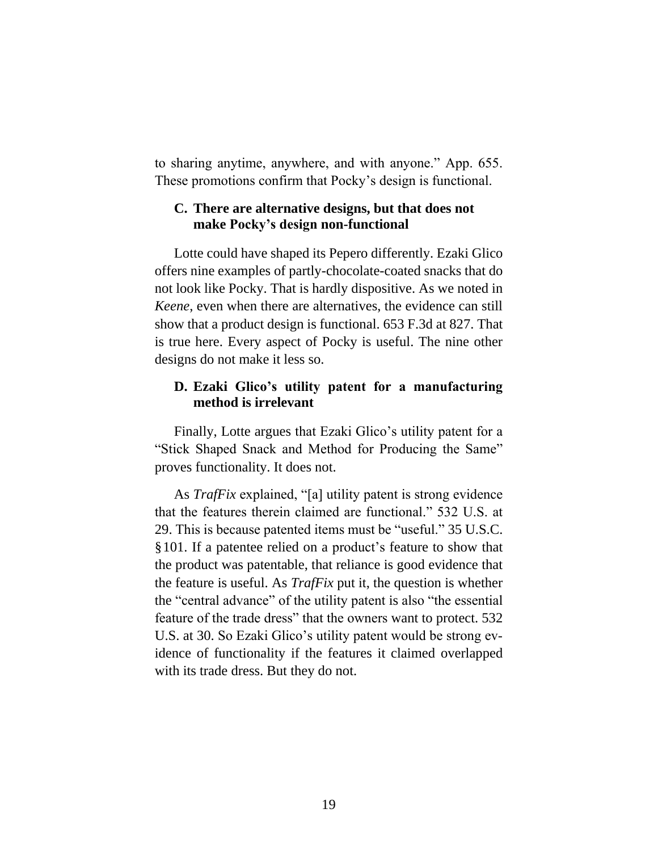to sharing anytime, anywhere, and with anyone." App. 655. These promotions confirm that Pocky's design is functional.

# **C. There are alternative designs, but that does not make Pocky's design non-functional**

Lotte could have shaped its Pepero differently. Ezaki Glico offers nine examples of partly-chocolate-coated snacks that do not look like Pocky. That is hardly dispositive. As we noted in *Keene*, even when there are alternatives, the evidence can still show that a product design is functional. 653 F.3d at 827. That is true here. Every aspect of Pocky is useful. The nine other designs do not make it less so.

## **D. Ezaki Glico's utility patent for a manufacturing method is irrelevant**

Finally, Lotte argues that Ezaki Glico's utility patent for a "Stick Shaped Snack and Method for Producing the Same" proves functionality. It does not.

As *TrafFix* explained, "[a] utility patent is strong evidence that the features therein claimed are functional." 532 U.S. at 29. This is because patented items must be "useful." 35 U.S.C. §101. If a patentee relied on a product's feature to show that the product was patentable, that reliance is good evidence that the feature is useful. As *TrafFix* put it, the question is whether the "central advance" of the utility patent is also "the essential feature of the trade dress" that the owners want to protect. 532 U.S. at 30. So Ezaki Glico's utility patent would be strong evidence of functionality if the features it claimed overlapped with its trade dress. But they do not.